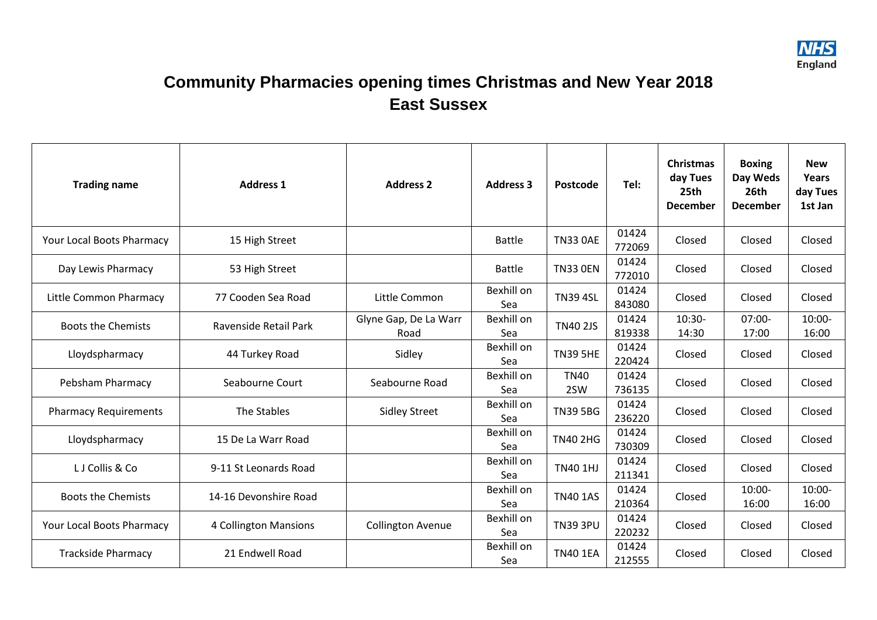

## **Community Pharmacies opening times Christmas and New Year 2018 East Sussex**

| <b>Trading name</b>          | <b>Address 1</b>      | <b>Address 2</b>              | <b>Address 3</b>  | Postcode           | Tel:            | <b>Christmas</b><br>day Tues<br>25th<br><b>December</b> | <b>Boxing</b><br>Day Weds<br>26th<br><b>December</b> | <b>New</b><br>Years<br>day Tues<br>1st Jan |
|------------------------------|-----------------------|-------------------------------|-------------------|--------------------|-----------------|---------------------------------------------------------|------------------------------------------------------|--------------------------------------------|
| Your Local Boots Pharmacy    | 15 High Street        |                               | <b>Battle</b>     | <b>TN33 0AE</b>    | 01424<br>772069 | Closed                                                  | Closed                                               | Closed                                     |
| Day Lewis Pharmacy           | 53 High Street        |                               | <b>Battle</b>     | <b>TN33 0EN</b>    | 01424<br>772010 | Closed                                                  | Closed                                               | Closed                                     |
| Little Common Pharmacy       | 77 Cooden Sea Road    | Little Common                 | Bexhill on<br>Sea | <b>TN39 4SL</b>    | 01424<br>843080 | Closed                                                  | Closed                                               | Closed                                     |
| <b>Boots the Chemists</b>    | Ravenside Retail Park | Glyne Gap, De La Warr<br>Road | Bexhill on<br>Sea | <b>TN40 2JS</b>    | 01424<br>819338 | $10:30-$<br>14:30                                       | $07:00-$<br>17:00                                    | $10:00 -$<br>16:00                         |
| Lloydspharmacy               | 44 Turkey Road        | Sidley                        | Bexhill on<br>Sea | <b>TN39 5HE</b>    | 01424<br>220424 | Closed                                                  | Closed                                               | Closed                                     |
| Pebsham Pharmacy             | Seabourne Court       | Seabourne Road                | Bexhill on<br>Sea | <b>TN40</b><br>2SW | 01424<br>736135 | Closed                                                  | Closed                                               | Closed                                     |
| <b>Pharmacy Requirements</b> | The Stables           | <b>Sidley Street</b>          | Bexhill on<br>Sea | <b>TN39 5BG</b>    | 01424<br>236220 | Closed                                                  | Closed                                               | Closed                                     |
| Lloydspharmacy               | 15 De La Warr Road    |                               | Bexhill on<br>Sea | <b>TN40 2HG</b>    | 01424<br>730309 | Closed                                                  | Closed                                               | Closed                                     |
| LJ Collis & Co               | 9-11 St Leonards Road |                               | Bexhill on<br>Sea | <b>TN40 1HJ</b>    | 01424<br>211341 | Closed                                                  | Closed                                               | Closed                                     |
| <b>Boots the Chemists</b>    | 14-16 Devonshire Road |                               | Bexhill on<br>Sea | <b>TN40 1AS</b>    | 01424<br>210364 | Closed                                                  | $10:00 -$<br>16:00                                   | $10:00 -$<br>16:00                         |
| Your Local Boots Pharmacy    | 4 Collington Mansions | <b>Collington Avenue</b>      | Bexhill on<br>Sea | <b>TN39 3PU</b>    | 01424<br>220232 | Closed                                                  | Closed                                               | Closed                                     |
| <b>Trackside Pharmacy</b>    | 21 Endwell Road       |                               | Bexhill on<br>Sea | <b>TN40 1EA</b>    | 01424<br>212555 | Closed                                                  | Closed                                               | Closed                                     |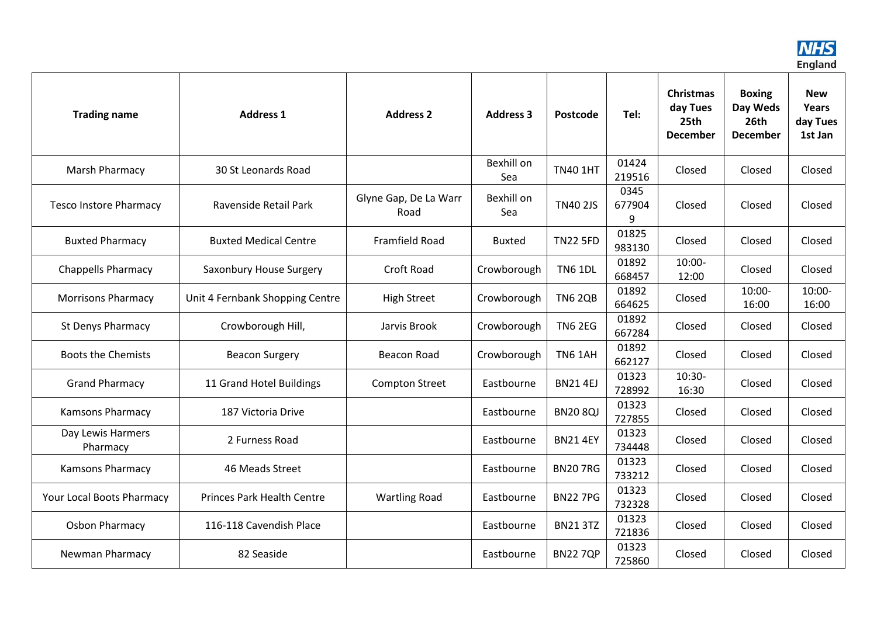

| <b>Trading name</b>           | <b>Address 1</b>                  | <b>Address 2</b>              | <b>Address 3</b>  | Postcode        | Tel:                | <b>Christmas</b><br>day Tues<br>25th<br><b>December</b> | <b>Boxing</b><br>Day Weds<br>26th<br><b>December</b> | <b>New</b><br>Years<br>day Tues<br>1st Jan |
|-------------------------------|-----------------------------------|-------------------------------|-------------------|-----------------|---------------------|---------------------------------------------------------|------------------------------------------------------|--------------------------------------------|
| <b>Marsh Pharmacy</b>         | 30 St Leonards Road               |                               | Bexhill on<br>Sea | <b>TN40 1HT</b> | 01424<br>219516     | Closed                                                  | Closed                                               | Closed                                     |
| <b>Tesco Instore Pharmacy</b> | Ravenside Retail Park             | Glyne Gap, De La Warr<br>Road | Bexhill on<br>Sea | <b>TN40 2JS</b> | 0345<br>677904<br>9 | Closed                                                  | Closed                                               | Closed                                     |
| <b>Buxted Pharmacy</b>        | <b>Buxted Medical Centre</b>      | Framfield Road                | <b>Buxted</b>     | <b>TN22 5FD</b> | 01825<br>983130     | Closed                                                  | Closed                                               | Closed                                     |
| <b>Chappells Pharmacy</b>     | Saxonbury House Surgery           | <b>Croft Road</b>             | Crowborough       | <b>TN6 1DL</b>  | 01892<br>668457     | $10:00 -$<br>12:00                                      | Closed                                               | Closed                                     |
| <b>Morrisons Pharmacy</b>     | Unit 4 Fernbank Shopping Centre   | <b>High Street</b>            | Crowborough       | <b>TN6 2QB</b>  | 01892<br>664625     | Closed                                                  | $10:00 -$<br>16:00                                   | $10:00 -$<br>16:00                         |
| <b>St Denys Pharmacy</b>      | Crowborough Hill,                 | Jarvis Brook                  | Crowborough       | <b>TN6 2EG</b>  | 01892<br>667284     | Closed                                                  | Closed                                               | Closed                                     |
| <b>Boots the Chemists</b>     | <b>Beacon Surgery</b>             | Beacon Road                   | Crowborough       | <b>TN6 1AH</b>  | 01892<br>662127     | Closed                                                  | Closed                                               | Closed                                     |
| <b>Grand Pharmacy</b>         | 11 Grand Hotel Buildings          | <b>Compton Street</b>         | Eastbourne        | <b>BN21 4EJ</b> | 01323<br>728992     | $10:30-$<br>16:30                                       | Closed                                               | Closed                                     |
| <b>Kamsons Pharmacy</b>       | 187 Victoria Drive                |                               | Eastbourne        | <b>BN20 8QJ</b> | 01323<br>727855     | Closed                                                  | Closed                                               | Closed                                     |
| Day Lewis Harmers<br>Pharmacy | 2 Furness Road                    |                               | Eastbourne        | <b>BN21 4EY</b> | 01323<br>734448     | Closed                                                  | Closed                                               | Closed                                     |
| <b>Kamsons Pharmacy</b>       | 46 Meads Street                   |                               | Eastbourne        | <b>BN207RG</b>  | 01323<br>733212     | Closed                                                  | Closed                                               | Closed                                     |
| Your Local Boots Pharmacy     | <b>Princes Park Health Centre</b> | <b>Wartling Road</b>          | Eastbourne        | <b>BN22 7PG</b> | 01323<br>732328     | Closed                                                  | Closed                                               | Closed                                     |
| <b>Osbon Pharmacy</b>         | 116-118 Cavendish Place           |                               | Eastbourne        | <b>BN21 3TZ</b> | 01323<br>721836     | Closed                                                  | Closed                                               | Closed                                     |
| Newman Pharmacy               | 82 Seaside                        |                               | Eastbourne        | <b>BN227QP</b>  | 01323<br>725860     | Closed                                                  | Closed                                               | Closed                                     |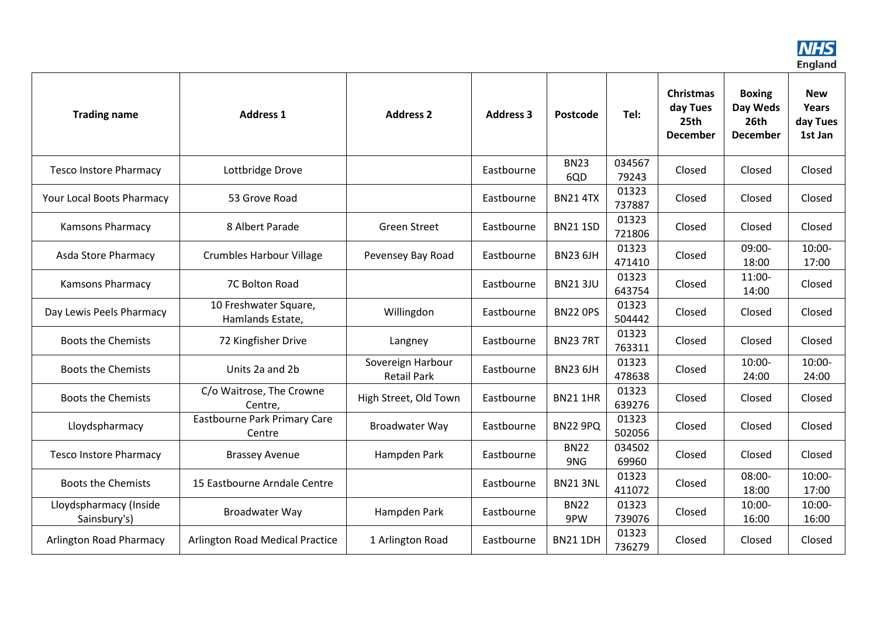

| <b>Trading name</b>                    | <b>Address 1</b>                          | <b>Address 2</b>                        | <b>Address 3</b> | Postcode           | Tel:            | <b>Christmas</b><br>day Tues<br>25th<br><b>December</b> | <b>Boxing</b><br>Day Weds<br>26th<br><b>December</b> | <b>New</b><br>Years<br>day Tues<br>1st Jan |
|----------------------------------------|-------------------------------------------|-----------------------------------------|------------------|--------------------|-----------------|---------------------------------------------------------|------------------------------------------------------|--------------------------------------------|
| <b>Tesco Instore Pharmacy</b>          | Lottbridge Drove                          |                                         | Eastbourne       | <b>BN23</b><br>6QD | 034567<br>79243 | Closed                                                  | Closed                                               | Closed                                     |
| Your Local Boots Pharmacy              | 53 Grove Road                             |                                         | Eastbourne       | <b>BN21 4TX</b>    | 01323<br>737887 | Closed                                                  | Closed                                               | Closed                                     |
| <b>Kamsons Pharmacy</b>                | 8 Albert Parade                           | <b>Green Street</b>                     | Eastbourne       | <b>BN21 1SD</b>    | 01323<br>721806 | Closed                                                  | Closed                                               | Closed                                     |
| Asda Store Pharmacy                    | <b>Crumbles Harbour Village</b>           | Pevensey Bay Road                       | Eastbourne       | <b>BN23 6JH</b>    | 01323<br>471410 | Closed                                                  | 09:00-<br>18:00                                      | $10:00 -$<br>17:00                         |
| <b>Kamsons Pharmacy</b>                | 7C Bolton Road                            |                                         | Eastbourne       | <b>BN213JU</b>     | 01323<br>643754 | Closed                                                  | $11:00-$<br>14:00                                    | Closed                                     |
| Day Lewis Peels Pharmacy               | 10 Freshwater Square,<br>Hamlands Estate, | Willingdon                              | Eastbourne       | <b>BN22 OPS</b>    | 01323<br>504442 | Closed                                                  | Closed                                               | Closed                                     |
| <b>Boots the Chemists</b>              | 72 Kingfisher Drive                       | Langney                                 | Eastbourne       | <b>BN237RT</b>     | 01323<br>763311 | Closed                                                  | Closed                                               | Closed                                     |
| <b>Boots the Chemists</b>              | Units 2a and 2b                           | Sovereign Harbour<br><b>Retail Park</b> | Eastbourne       | <b>BN23 6JH</b>    | 01323<br>478638 | Closed                                                  | $10:00 -$<br>24:00                                   | $10:00 -$<br>24:00                         |
| <b>Boots the Chemists</b>              | C/o Waitrose, The Crowne<br>Centre,       | High Street, Old Town                   | Eastbourne       | <b>BN21 1HR</b>    | 01323<br>639276 | Closed                                                  | Closed                                               | Closed                                     |
| Lloydspharmacy                         | Eastbourne Park Primary Care<br>Centre    | Broadwater Way                          | Eastbourne       | <b>BN22 9PQ</b>    | 01323<br>502056 | Closed                                                  | Closed                                               | Closed                                     |
| <b>Tesco Instore Pharmacy</b>          | <b>Brassey Avenue</b>                     | Hampden Park                            | Eastbourne       | <b>BN22</b><br>9NG | 034502<br>69960 | Closed                                                  | Closed                                               | Closed                                     |
| <b>Boots the Chemists</b>              | 15 Eastbourne Arndale Centre              |                                         | Eastbourne       | <b>BN21 3NL</b>    | 01323<br>411072 | Closed                                                  | 08:00-<br>18:00                                      | $10:00 -$<br>17:00                         |
| Lloydspharmacy (Inside<br>Sainsbury's) | <b>Broadwater Way</b>                     | Hampden Park                            | Eastbourne       | <b>BN22</b><br>9PW | 01323<br>739076 | Closed                                                  | $10:00 -$<br>16:00                                   | $10:00 -$<br>16:00                         |
| <b>Arlington Road Pharmacy</b>         | <b>Arlington Road Medical Practice</b>    | 1 Arlington Road                        | Eastbourne       | <b>BN21 1DH</b>    | 01323<br>736279 | Closed                                                  | Closed                                               | Closed                                     |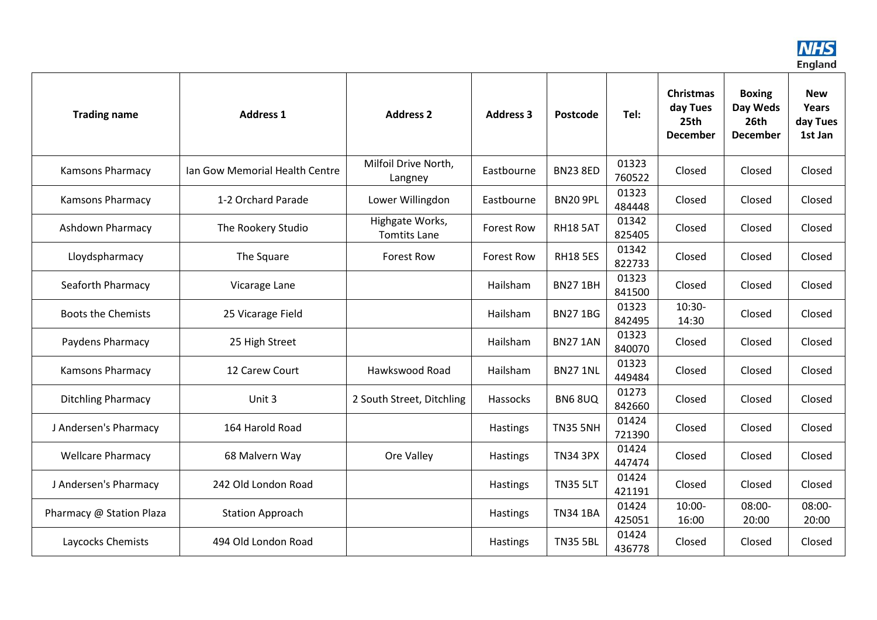

| <b>Trading name</b>       | <b>Address 1</b>               | <b>Address 2</b>                       | <b>Address 3</b>  | Postcode        | Tel:            | <b>Christmas</b><br>day Tues<br>25th<br><b>December</b> | <b>Boxing</b><br>Day Weds<br>26th<br><b>December</b> | <b>New</b><br><b>Years</b><br>day Tues<br>1st Jan |
|---------------------------|--------------------------------|----------------------------------------|-------------------|-----------------|-----------------|---------------------------------------------------------|------------------------------------------------------|---------------------------------------------------|
| Kamsons Pharmacy          | Ian Gow Memorial Health Centre | Milfoil Drive North,<br>Langney        | Eastbourne        | <b>BN23 8ED</b> | 01323<br>760522 | Closed                                                  | Closed                                               | Closed                                            |
| <b>Kamsons Pharmacy</b>   | 1-2 Orchard Parade             | Lower Willingdon                       | Eastbourne        | <b>BN20 9PL</b> | 01323<br>484448 | Closed                                                  | Closed                                               | Closed                                            |
| <b>Ashdown Pharmacy</b>   | The Rookery Studio             | Highgate Works,<br><b>Tomtits Lane</b> | <b>Forest Row</b> | <b>RH18 5AT</b> | 01342<br>825405 | Closed                                                  | Closed                                               | Closed                                            |
| Lloydspharmacy            | The Square                     | <b>Forest Row</b>                      | <b>Forest Row</b> | <b>RH18 5ES</b> | 01342<br>822733 | Closed                                                  | Closed                                               | Closed                                            |
| Seaforth Pharmacy         | Vicarage Lane                  |                                        | Hailsham          | <b>BN27 1BH</b> | 01323<br>841500 | Closed                                                  | Closed                                               | Closed                                            |
| <b>Boots the Chemists</b> | 25 Vicarage Field              |                                        | Hailsham          | <b>BN271BG</b>  | 01323<br>842495 | $10:30-$<br>14:30                                       | Closed                                               | Closed                                            |
| Paydens Pharmacy          | 25 High Street                 |                                        | Hailsham          | <b>BN27 1AN</b> | 01323<br>840070 | Closed                                                  | Closed                                               | Closed                                            |
| Kamsons Pharmacy          | 12 Carew Court                 | Hawkswood Road                         | Hailsham          | <b>BN27 1NL</b> | 01323<br>449484 | Closed                                                  | Closed                                               | Closed                                            |
| <b>Ditchling Pharmacy</b> | Unit 3                         | 2 South Street, Ditchling              | Hassocks          | <b>BN6 8UQ</b>  | 01273<br>842660 | Closed                                                  | Closed                                               | Closed                                            |
| J Andersen's Pharmacy     | 164 Harold Road                |                                        | Hastings          | <b>TN35 5NH</b> | 01424<br>721390 | Closed                                                  | Closed                                               | Closed                                            |
| <b>Wellcare Pharmacy</b>  | 68 Malvern Way                 | Ore Valley                             | <b>Hastings</b>   | <b>TN34 3PX</b> | 01424<br>447474 | Closed                                                  | Closed                                               | Closed                                            |
| J Andersen's Pharmacy     | 242 Old London Road            |                                        | Hastings          | <b>TN35 5LT</b> | 01424<br>421191 | Closed                                                  | Closed                                               | Closed                                            |
| Pharmacy @ Station Plaza  | <b>Station Approach</b>        |                                        | Hastings          | <b>TN34 1BA</b> | 01424<br>425051 | $10:00 -$<br>16:00                                      | $08:00 -$<br>20:00                                   | $08:00 -$<br>20:00                                |
| Laycocks Chemists         | 494 Old London Road            |                                        | <b>Hastings</b>   | <b>TN35 5BL</b> | 01424<br>436778 | Closed                                                  | Closed                                               | Closed                                            |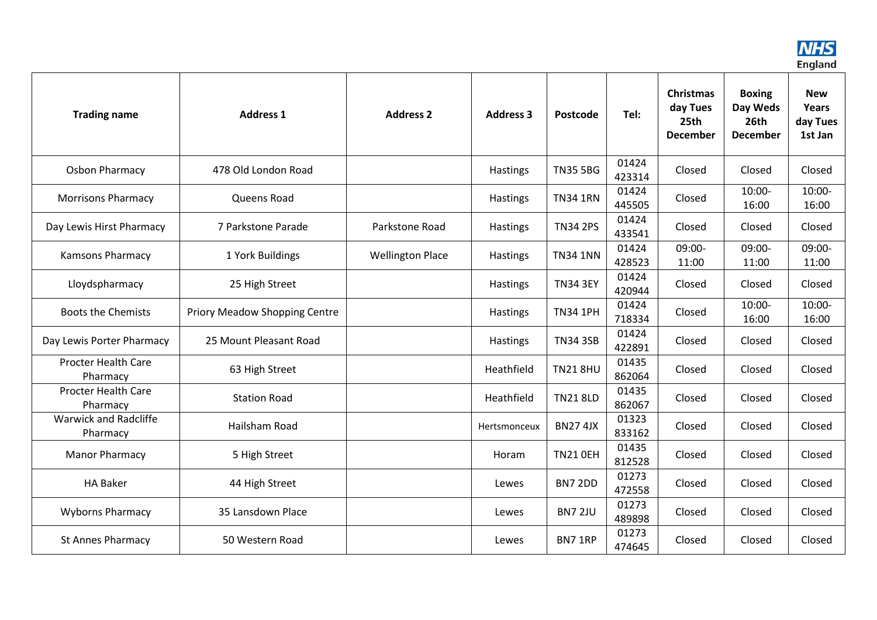

| <b>Trading name</b>                      | <b>Address 1</b>              | <b>Address 2</b>        | <b>Address 3</b> | Postcode        | Tel:            | <b>Christmas</b><br>day Tues<br>25th<br><b>December</b> | <b>Boxing</b><br>Day Weds<br>26th<br><b>December</b> | <b>New</b><br><b>Years</b><br>day Tues<br>1st Jan |
|------------------------------------------|-------------------------------|-------------------------|------------------|-----------------|-----------------|---------------------------------------------------------|------------------------------------------------------|---------------------------------------------------|
| <b>Osbon Pharmacy</b>                    | 478 Old London Road           |                         | Hastings         | <b>TN35 5BG</b> | 01424<br>423314 | Closed                                                  | Closed                                               | Closed                                            |
| <b>Morrisons Pharmacy</b>                | Queens Road                   |                         | <b>Hastings</b>  | <b>TN34 1RN</b> | 01424<br>445505 | Closed                                                  | $10:00 -$<br>16:00                                   | $10:00 -$<br>16:00                                |
| Day Lewis Hirst Pharmacy                 | 7 Parkstone Parade            | Parkstone Road          | <b>Hastings</b>  | <b>TN34 2PS</b> | 01424<br>433541 | Closed                                                  | Closed                                               | Closed                                            |
| <b>Kamsons Pharmacy</b>                  | 1 York Buildings              | <b>Wellington Place</b> | <b>Hastings</b>  | <b>TN34 1NN</b> | 01424<br>428523 | 09:00-<br>11:00                                         | 09:00-<br>11:00                                      | 09:00-<br>11:00                                   |
| Lloydspharmacy                           | 25 High Street                |                         | <b>Hastings</b>  | <b>TN34 3EY</b> | 01424<br>420944 | Closed                                                  | Closed                                               | Closed                                            |
| <b>Boots the Chemists</b>                | Priory Meadow Shopping Centre |                         | Hastings         | <b>TN34 1PH</b> | 01424<br>718334 | Closed                                                  | $10:00 -$<br>16:00                                   | $10:00 -$<br>16:00                                |
| Day Lewis Porter Pharmacy                | 25 Mount Pleasant Road        |                         | Hastings         | <b>TN34 3SB</b> | 01424<br>422891 | Closed                                                  | Closed                                               | Closed                                            |
| <b>Procter Health Care</b><br>Pharmacy   | 63 High Street                |                         | Heathfield       | <b>TN21 8HU</b> | 01435<br>862064 | Closed                                                  | Closed                                               | Closed                                            |
| <b>Procter Health Care</b><br>Pharmacy   | <b>Station Road</b>           |                         | Heathfield       | <b>TN21 8LD</b> | 01435<br>862067 | Closed                                                  | Closed                                               | Closed                                            |
| <b>Warwick and Radcliffe</b><br>Pharmacy | Hailsham Road                 |                         | Hertsmonceux     | <b>BN274JX</b>  | 01323<br>833162 | Closed                                                  | Closed                                               | Closed                                            |
| <b>Manor Pharmacy</b>                    | 5 High Street                 |                         | Horam            | <b>TN21 OEH</b> | 01435<br>812528 | Closed                                                  | Closed                                               | Closed                                            |
| <b>HA Baker</b>                          | 44 High Street                |                         | Lewes            | <b>BN7 2DD</b>  | 01273<br>472558 | Closed                                                  | Closed                                               | Closed                                            |
| <b>Wyborns Pharmacy</b>                  | 35 Lansdown Place             |                         | Lewes            | <b>BN7 2JU</b>  | 01273<br>489898 | Closed                                                  | Closed                                               | Closed                                            |
| <b>St Annes Pharmacy</b>                 | 50 Western Road               |                         | Lewes            | BN7 1RP         | 01273<br>474645 | Closed                                                  | Closed                                               | Closed                                            |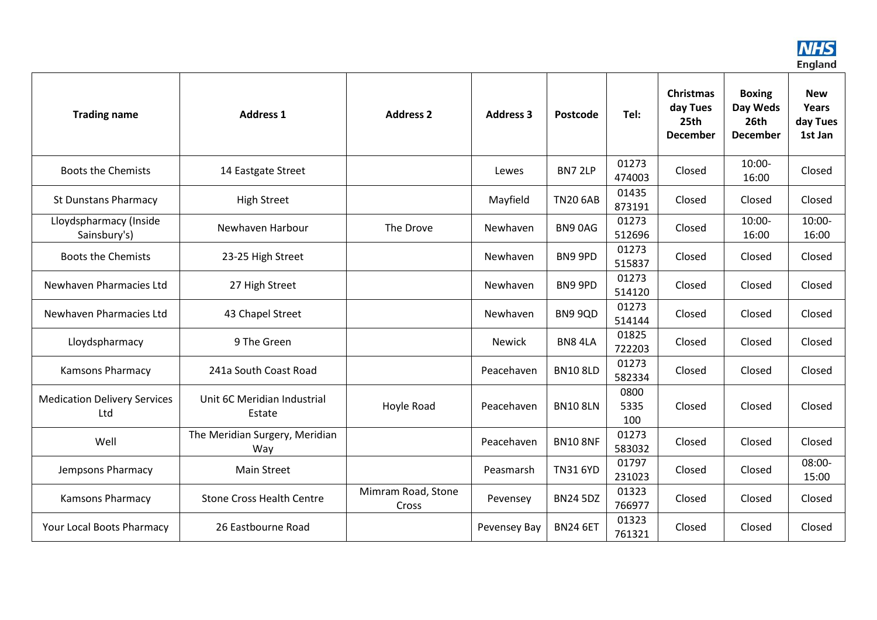

| <b>Trading name</b>                        | <b>Address 1</b>                      | <b>Address 2</b>            | <b>Address 3</b> | Postcode        | Tel:                | <b>Christmas</b><br>day Tues<br>25th<br><b>December</b> | <b>Boxing</b><br>Day Weds<br>26th<br><b>December</b> | <b>New</b><br><b>Years</b><br>day Tues<br>1st Jan |
|--------------------------------------------|---------------------------------------|-----------------------------|------------------|-----------------|---------------------|---------------------------------------------------------|------------------------------------------------------|---------------------------------------------------|
| <b>Boots the Chemists</b>                  | 14 Eastgate Street                    |                             | Lewes            | BN7 2LP         | 01273<br>474003     | Closed                                                  | $10:00 -$<br>16:00                                   | Closed                                            |
| <b>St Dunstans Pharmacy</b>                | <b>High Street</b>                    |                             | Mayfield         | <b>TN20 6AB</b> | 01435<br>873191     | Closed                                                  | Closed                                               | Closed                                            |
| Lloydspharmacy (Inside<br>Sainsbury's)     | Newhaven Harbour                      | The Drove                   | Newhaven         | BN90AG          | 01273<br>512696     | Closed                                                  | $10:00 -$<br>16:00                                   | $10:00 -$<br>16:00                                |
| <b>Boots the Chemists</b>                  | 23-25 High Street                     |                             | Newhaven         | BN9 9PD         | 01273<br>515837     | Closed                                                  | Closed                                               | Closed                                            |
| Newhaven Pharmacies Ltd                    | 27 High Street                        |                             | Newhaven         | BN9 9PD         | 01273<br>514120     | Closed                                                  | Closed                                               | Closed                                            |
| Newhaven Pharmacies Ltd                    | 43 Chapel Street                      |                             | Newhaven         | BN9 9QD         | 01273<br>514144     | Closed                                                  | Closed                                               | Closed                                            |
| Lloydspharmacy                             | 9 The Green                           |                             | <b>Newick</b>    | BN8 4LA         | 01825<br>722203     | Closed                                                  | Closed                                               | Closed                                            |
| Kamsons Pharmacy                           | 241a South Coast Road                 |                             | Peacehaven       | <b>BN10 8LD</b> | 01273<br>582334     | Closed                                                  | Closed                                               | Closed                                            |
| <b>Medication Delivery Services</b><br>Ltd | Unit 6C Meridian Industrial<br>Estate | Hoyle Road                  | Peacehaven       | <b>BN10 8LN</b> | 0800<br>5335<br>100 | Closed                                                  | Closed                                               | Closed                                            |
| Well                                       | The Meridian Surgery, Meridian<br>Way |                             | Peacehaven       | <b>BN10 8NF</b> | 01273<br>583032     | Closed                                                  | Closed                                               | Closed                                            |
| Jempsons Pharmacy                          | <b>Main Street</b>                    |                             | Peasmarsh        | <b>TN31 6YD</b> | 01797<br>231023     | Closed                                                  | Closed                                               | 08:00-<br>15:00                                   |
| <b>Kamsons Pharmacy</b>                    | <b>Stone Cross Health Centre</b>      | Mimram Road, Stone<br>Cross | Pevensey         | <b>BN24 5DZ</b> | 01323<br>766977     | Closed                                                  | Closed                                               | Closed                                            |
| Your Local Boots Pharmacy                  | 26 Eastbourne Road                    |                             | Pevensey Bay     | <b>BN24 6ET</b> | 01323<br>761321     | Closed                                                  | Closed                                               | Closed                                            |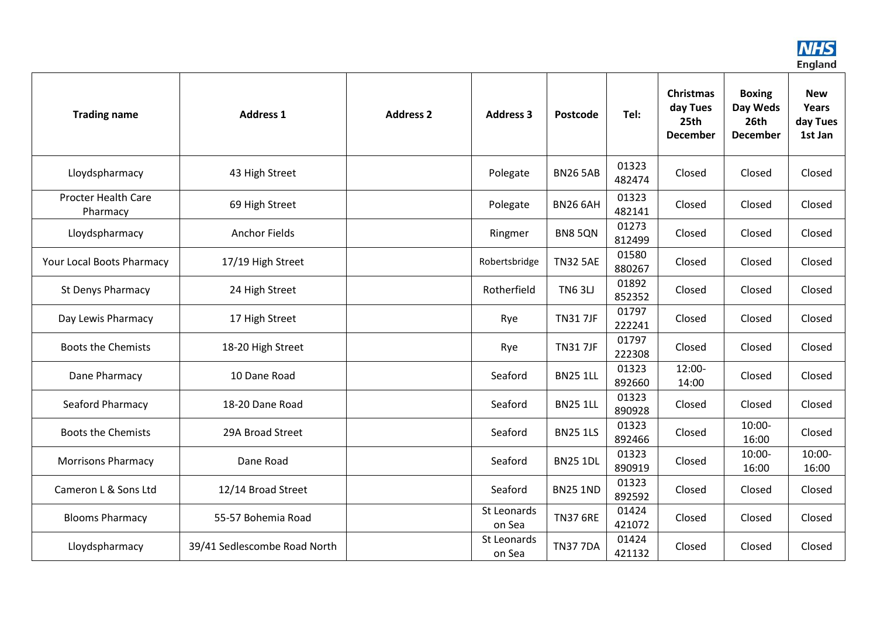

| <b>Trading name</b>                    | <b>Address 1</b>             | <b>Address 2</b> | <b>Address 3</b>      | Postcode        | Tel:            | Christmas<br>day Tues<br>25th<br><b>December</b> | <b>Boxing</b><br>Day Weds<br>26th<br><b>December</b> | <b>New</b><br><b>Years</b><br>day Tues<br>1st Jan |
|----------------------------------------|------------------------------|------------------|-----------------------|-----------------|-----------------|--------------------------------------------------|------------------------------------------------------|---------------------------------------------------|
| Lloydspharmacy                         | 43 High Street               |                  | Polegate              | <b>BN26 5AB</b> | 01323<br>482474 | Closed                                           | Closed                                               | Closed                                            |
| <b>Procter Health Care</b><br>Pharmacy | 69 High Street               |                  | Polegate              | <b>BN26 6AH</b> | 01323<br>482141 | Closed                                           | Closed                                               | Closed                                            |
| Lloydspharmacy                         | <b>Anchor Fields</b>         |                  | Ringmer               | BN8 5QN         | 01273<br>812499 | Closed                                           | Closed                                               | Closed                                            |
| Your Local Boots Pharmacy              | 17/19 High Street            |                  | Robertsbridge         | <b>TN32 5AE</b> | 01580<br>880267 | Closed                                           | Closed                                               | Closed                                            |
| St Denys Pharmacy                      | 24 High Street               |                  | Rotherfield           | <b>TN6 3LJ</b>  | 01892<br>852352 | Closed                                           | Closed                                               | Closed                                            |
| Day Lewis Pharmacy                     | 17 High Street               |                  | Rye                   | <b>TN317JF</b>  | 01797<br>222241 | Closed                                           | Closed                                               | Closed                                            |
| <b>Boots the Chemists</b>              | 18-20 High Street            |                  | Rye                   | <b>TN317JF</b>  | 01797<br>222308 | Closed                                           | Closed                                               | Closed                                            |
| Dane Pharmacy                          | 10 Dane Road                 |                  | Seaford               | <b>BN25 1LL</b> | 01323<br>892660 | $12:00-$<br>14:00                                | Closed                                               | Closed                                            |
| Seaford Pharmacy                       | 18-20 Dane Road              |                  | Seaford               | <b>BN25 1LL</b> | 01323<br>890928 | Closed                                           | Closed                                               | Closed                                            |
| <b>Boots the Chemists</b>              | 29A Broad Street             |                  | Seaford               | <b>BN25 1LS</b> | 01323<br>892466 | Closed                                           | $10:00 -$<br>16:00                                   | Closed                                            |
| <b>Morrisons Pharmacy</b>              | Dane Road                    |                  | Seaford               | <b>BN25 1DL</b> | 01323<br>890919 | Closed                                           | $10:00 -$<br>16:00                                   | $10:00 -$<br>16:00                                |
| Cameron L & Sons Ltd                   | 12/14 Broad Street           |                  | Seaford               | <b>BN25 1ND</b> | 01323<br>892592 | Closed                                           | Closed                                               | Closed                                            |
| <b>Blooms Pharmacy</b>                 | 55-57 Bohemia Road           |                  | St Leonards<br>on Sea | <b>TN37 6RE</b> | 01424<br>421072 | Closed                                           | Closed                                               | Closed                                            |
| Lloydspharmacy                         | 39/41 Sedlescombe Road North |                  | St Leonards<br>on Sea | <b>TN377DA</b>  | 01424<br>421132 | Closed                                           | Closed                                               | Closed                                            |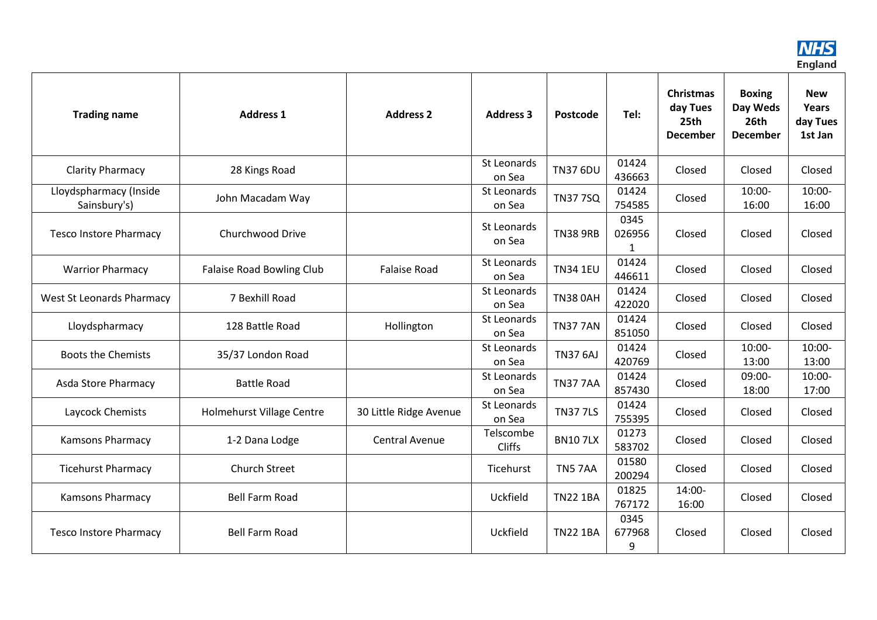

| <b>Trading name</b>                    | <b>Address 1</b>                 | <b>Address 2</b>       | <b>Address 3</b>           | Postcode        | Tel:                | <b>Christmas</b><br>day Tues<br>25th<br><b>December</b> | <b>Boxing</b><br>Day Weds<br>26th<br><b>December</b> | <b>New</b><br>Years<br>day Tues<br>1st Jan |
|----------------------------------------|----------------------------------|------------------------|----------------------------|-----------------|---------------------|---------------------------------------------------------|------------------------------------------------------|--------------------------------------------|
| <b>Clarity Pharmacy</b>                | 28 Kings Road                    |                        | St Leonards<br>on Sea      | <b>TN37 6DU</b> | 01424<br>436663     | Closed                                                  | Closed                                               | Closed                                     |
| Lloydspharmacy (Inside<br>Sainsbury's) | John Macadam Way                 |                        | St Leonards<br>on Sea      | <b>TN377SQ</b>  | 01424<br>754585     | Closed                                                  | 10:00-<br>16:00                                      | $10:00 -$<br>16:00                         |
| <b>Tesco Instore Pharmacy</b>          | Churchwood Drive                 |                        | St Leonards<br>on Sea      | <b>TN38 9RB</b> | 0345<br>026956      | Closed                                                  | Closed                                               | Closed                                     |
| <b>Warrior Pharmacy</b>                | <b>Falaise Road Bowling Club</b> | <b>Falaise Road</b>    | St Leonards<br>on Sea      | <b>TN34 1EU</b> | 01424<br>446611     | Closed                                                  | Closed                                               | Closed                                     |
| <b>West St Leonards Pharmacy</b>       | 7 Bexhill Road                   |                        | St Leonards<br>on Sea      | <b>TN38 0AH</b> | 01424<br>422020     | Closed                                                  | Closed                                               | Closed                                     |
| Lloydspharmacy                         | 128 Battle Road                  | Hollington             | St Leonards<br>on Sea      | <b>TN3777AN</b> | 01424<br>851050     | Closed                                                  | Closed                                               | Closed                                     |
| <b>Boots the Chemists</b>              | 35/37 London Road                |                        | St Leonards<br>on Sea      | <b>TN37 6AJ</b> | 01424<br>420769     | Closed                                                  | $10:00 -$<br>13:00                                   | $10:00 -$<br>13:00                         |
| Asda Store Pharmacy                    | <b>Battle Road</b>               |                        | St Leonards<br>on Sea      | <b>TN377AA</b>  | 01424<br>857430     | Closed                                                  | 09:00-<br>18:00                                      | $10:00 -$<br>17:00                         |
| Laycock Chemists                       | Holmehurst Village Centre        | 30 Little Ridge Avenue | St Leonards<br>on Sea      | <b>TN377LS</b>  | 01424<br>755395     | Closed                                                  | Closed                                               | Closed                                     |
| Kamsons Pharmacy                       | 1-2 Dana Lodge                   | Central Avenue         | Telscombe<br><b>Cliffs</b> | <b>BN107LX</b>  | 01273<br>583702     | Closed                                                  | Closed                                               | Closed                                     |
| <b>Ticehurst Pharmacy</b>              | <b>Church Street</b>             |                        | Ticehurst                  | TN57AA          | 01580<br>200294     | Closed                                                  | Closed                                               | Closed                                     |
| <b>Kamsons Pharmacy</b>                | <b>Bell Farm Road</b>            |                        | Uckfield                   | <b>TN22 1BA</b> | 01825<br>767172     | 14:00-<br>16:00                                         | Closed                                               | Closed                                     |
| <b>Tesco Instore Pharmacy</b>          | <b>Bell Farm Road</b>            |                        | Uckfield                   | <b>TN22 1BA</b> | 0345<br>677968<br>9 | Closed                                                  | Closed                                               | Closed                                     |